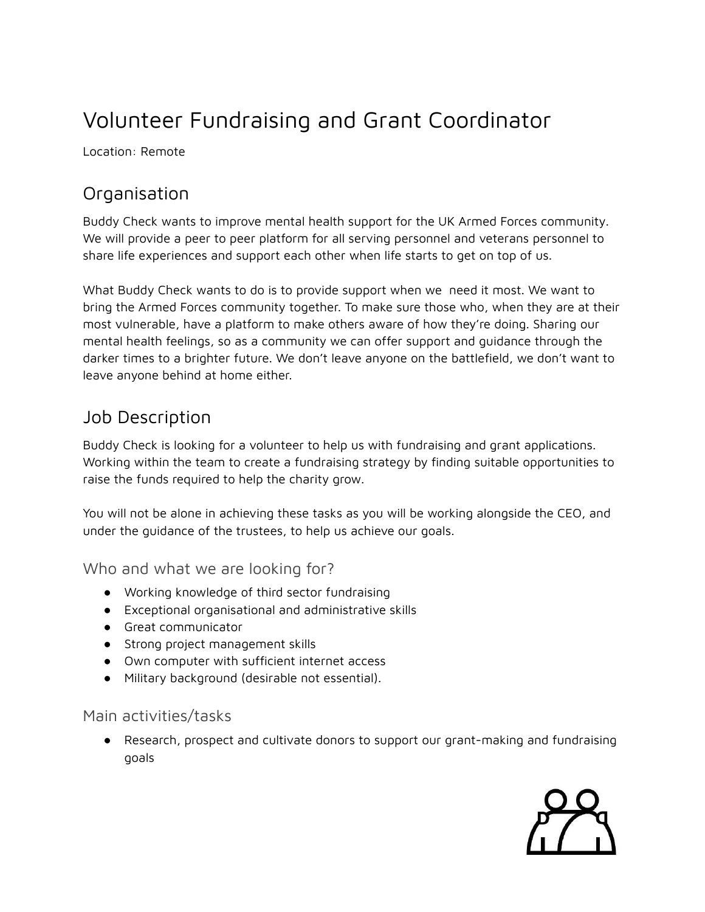## Volunteer Fundraising and Grant Coordinator

Location: Remote

## **Organisation**

Buddy Check wants to improve mental health support for the UK Armed Forces community. We will provide a peer to peer platform for all serving personnel and veterans personnel to share life experiences and support each other when life starts to get on top of us.

What Buddy Check wants to do is to provide support when we need it most. We want to bring the Armed Forces community together. To make sure those who, when they are at their most vulnerable, have a platform to make others aware of how they're doing. Sharing our mental health feelings, so as a community we can offer support and guidance through the darker times to a brighter future. We don't leave anyone on the battlefield, we don't want to leave anyone behind at home either.

## Job Description

Buddy Check is looking for a volunteer to help us with fundraising and grant applications. Working within the team to create a fundraising strategy by finding suitable opportunities to raise the funds required to help the charity grow.

You will not be alone in achieving these tasks as you will be working alongside the CEO, and under the guidance of the trustees, to help us achieve our goals.

Who and what we are looking for?

- Working knowledge of third sector fundraising
- Exceptional organisational and administrative skills
- Great communicator
- Strong project management skills
- Own computer with sufficient internet access
- Military background (desirable not essential).

## Main activities/tasks

● Research, prospect and cultivate donors to support our grant-making and fundraising goals